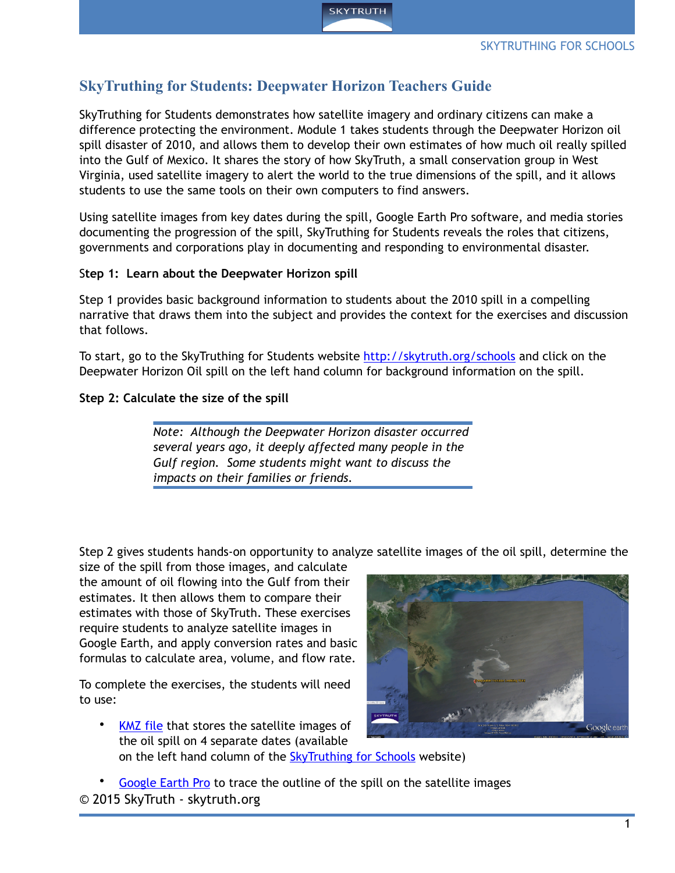

# **SkyTruthing for Students: Deepwater Horizon Teachers Guide**

SkyTruthing for Students demonstrates how satellite imagery and ordinary citizens can make a difference protecting the environment. Module 1 takes students through the Deepwater Horizon oil spill disaster of 2010, and allows them to develop their own estimates of how much oil really spilled into the Gulf of Mexico. It shares the story of how SkyTruth, a small conservation group in West Virginia, used satellite imagery to alert the world to the true dimensions of the spill, and it allows students to use the same tools on their own computers to find answers.

Using satellite images from key dates during the spill, Google Earth Pro software, and media stories documenting the progression of the spill, SkyTruthing for Students reveals the roles that citizens, governments and corporations play in documenting and responding to environmental disaster.

#### S**tep 1: Learn about the Deepwater Horizon spill**

Step 1 provides basic background information to students about the 2010 spill in a compelling narrative that draws them into the subject and provides the context for the exercises and discussion that follows.

To start, go to the SkyTruthing for Students website <http://skytruth.org/schools>and click on the Deepwater Horizon Oil spill on the left hand column for background information on the spill.

#### **Step 2: Calculate the size of the spill**

*Note: Although the Deepwater Horizon disaster occurred several years ago, it deeply affected many people in the Gulf region. Some students might want to discuss the impacts on their families or friends.*

Step 2 gives students hands-on opportunity to analyze satellite images of the oil spill, determine the

size of the spill from those images, and calculate the amount of oil flowing into the Gulf from their estimates. It then allows them to compare their estimates with those of SkyTruth. These exercises require students to analyze satellite images in Google Earth, and apply conversion rates and basic formulas to calculate area, volume, and flow rate.

To complete the exercises, the students will need to use:

• [KMZ file](http://skytruth.org/schools/wp-content/uploads/2015/03/Deepwater%2520Horizon%2520Oil%2520Spill_student.kmz) that stores the satellite images of the oil spill on 4 separate dates (available on the left hand column of the **SkyTruthing for Schools** website)



• [Google Earth Pro](http://www.google.com/earth/download/gep/agree.html) to trace the outline of the spill on the satellite images © 2015 SkyTruth - skytruth.org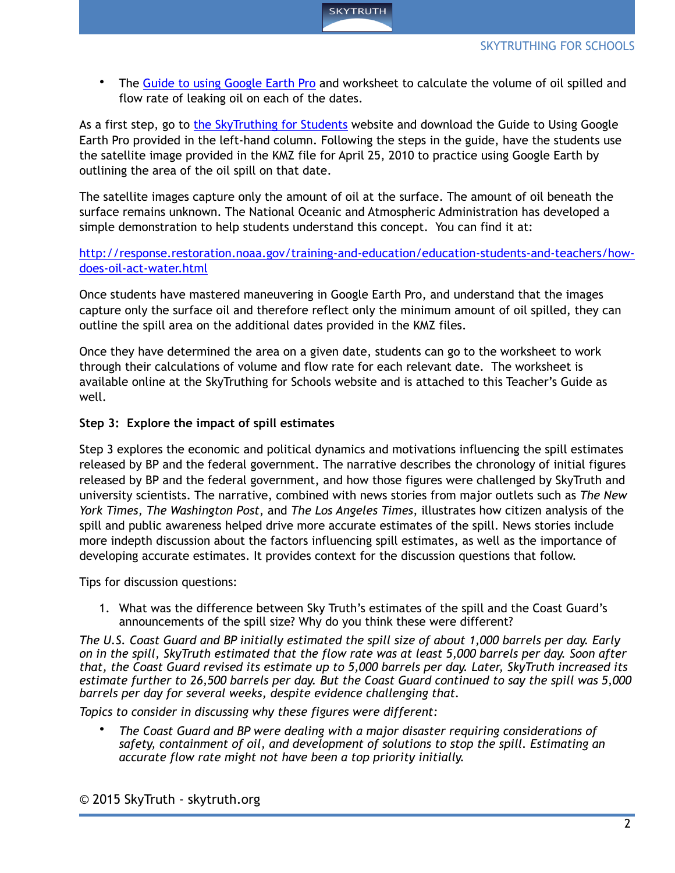The [Guide to using Google Earth Pro](http://skytruth.org/schools/wp-content/uploads/2015/04/Google-Earth-Guide.pdf) and worksheet to calculate the volume of oil spilled and flow rate of leaking oil on each of the dates.

As a first step, go to [the SkyTruthing for Students](http://skytruth.org/schools/) website and download the Guide to Using Google Earth Pro provided in the left-hand column. Following the steps in the guide, have the students use the satellite image provided in the KMZ file for April 25, 2010 to practice using Google Earth by outlining the area of the oil spill on that date.

The satellite images capture only the amount of oil at the surface. The amount of oil beneath the surface remains unknown. The National Oceanic and Atmospheric Administration has developed a simple demonstration to help students understand this concept. You can find it at:

## [http://response.restoration.noaa.gov/training-and-education/education-students-and-teachers/how](http://response.restoration.noaa.gov/training-and-education/education-students-and-teachers/how-does-oil-act-water.html)does-oil-act-water.html

Once students have mastered maneuvering in Google Earth Pro, and understand that the images capture only the surface oil and therefore reflect only the minimum amount of oil spilled, they can outline the spill area on the additional dates provided in the KMZ files.

Once they have determined the area on a given date, students can go to the worksheet to work through their calculations of volume and flow rate for each relevant date. The worksheet is available online at the SkyTruthing for Schools website and is attached to this Teacher's Guide as well.

## **Step 3: Explore the impact of spill estimates**

Step 3 explores the economic and political dynamics and motivations influencing the spill estimates released by BP and the federal government. The narrative describes the chronology of initial figures released by BP and the federal government, and how those figures were challenged by SkyTruth and university scientists. The narrative, combined with news stories from major outlets such as *The New York Times, The Washington Post*, and *The Los Angeles Times*, illustrates how citizen analysis of the spill and public awareness helped drive more accurate estimates of the spill. News stories include more indepth discussion about the factors influencing spill estimates, as well as the importance of developing accurate estimates. It provides context for the discussion questions that follow.

Tips for discussion questions:

1. What was the difference between Sky Truth's estimates of the spill and the Coast Guard's announcements of the spill size? Why do you think these were different?

*The U.S. Coast Guard and BP initially estimated the spill size of about 1,000 barrels per day. Early on in the spill, SkyTruth estimated that the flow rate was at least 5,000 barrels per day. Soon after that, the Coast Guard revised its estimate up to 5,000 barrels per day. Later, SkyTruth increased its estimate further to 26,500 barrels per day. But the Coast Guard continued to say the spill was 5,000 barrels per day for several weeks, despite evidence challenging that.*

*Topics to consider in discussing why these figures were different:*

• *The Coast Guard and BP were dealing with a major disaster requiring considerations of safety, containment of oil, and development of solutions to stop the spill. Estimating an accurate flow rate might not have been a top priority initially.*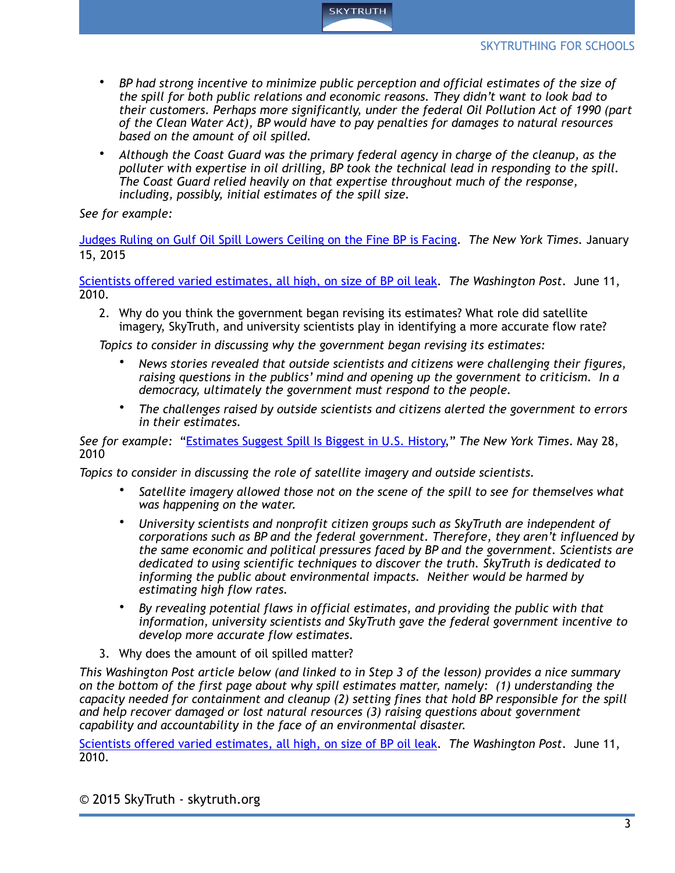

- *BP had strong incentive to minimize public perception and official estimates of the size of the spill for both public relations and economic reasons. They didn't want to look bad to their customers. Perhaps more significantly, under the federal Oil Pollution Act of 1990 (part of the Clean Water Act), BP would have to pay penalties for damages to natural resources based on the amount of oil spilled.*
- *Although the Coast Guard was the primary federal agency in charge of the cleanup, as the polluter with expertise in oil drilling, BP took the technical lead in responding to the spill. The Coast Guard relied heavily on that expertise throughout much of the response, including, possibly, initial estimates of the spill size.*

*See for example:* 

Judges Ruling on Gulf Oil Spill Lowers Ceiling on the Fine BP is Facing. *The New York Times*. January 15, 2015

[Scientists offered varied estimates, all high, on size of BP oil leak.](http://www.washingtonpost.com/wp-dyn/content/article/2010/06/10/AR2010061003683_2.html?hpid=topnews) *The Washington Post*. June 11, 2010.

2. Why do you think the government began revising its estimates? What role did satellite imagery, SkyTruth, and university scientists play in identifying a more accurate flow rate?

*Topics to consider in discussing why the government began revising its estimates:*

- *News stories revealed that outside scientists and citizens were challenging their figures, raising questions in the publics' mind and opening up the government to criticism. In a democracy, ultimately the government must respond to the people.*
- *The challenges raised by outside scientists and citizens alerted the government to errors in their estimates.*

*See for example:* "[Estimates Suggest Spill Is Biggest in U.S. History,](http://www.nytimes.com/2010/05/28/us/28flow.html?scp=5&sq=skytruth&st=cse&_r=1&)" *The New York Times*. May 28, 2010

*Topics to consider in discussing the role of satellite imagery and outside scientists.* 

- *Satellite imagery allowed those not on the scene of the spill to see for themselves what was happening on the water.*
- *University scientists and nonprofit citizen groups such as SkyTruth are independent of corporations such as BP and the federal government. Therefore, they aren't influenced by the same economic and political pressures faced by BP and the government. Scientists are dedicated to using scientific techniques to discover the truth. SkyTruth is dedicated to informing the public about environmental impacts. Neither would be harmed by estimating high flow rates.*
- *By revealing potential flaws in official estimates, and providing the public with that information, university scientists and SkyTruth gave the federal government incentive to develop more accurate flow estimates.*
- 3. Why does the amount of oil spilled matter?

*This Washington Post article below (and linked to in Step 3 of the lesson) provides a nice summary on the bottom of the first page about why spill estimates matter, namely: (1) understanding the capacity needed for containment and cleanup (2) setting fines that hold BP responsible for the spill and help recover damaged or lost natural resources (3) raising questions about government capability and accountability in the face of an environmental disaster.* 

[Scientists offered varied estimates, all high, on size of BP oil leak.](http://www.washingtonpost.com/wp-dyn/content/article/2010/06/10/AR2010061003683_2.html?hpid=topnews) *The Washington Post*. June 11, 2010.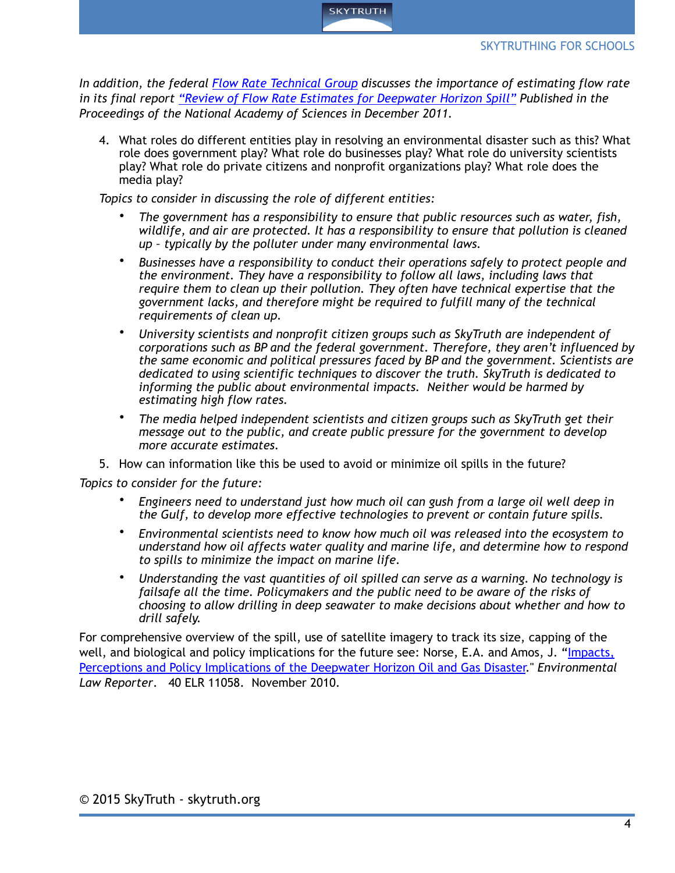

*In addition, the federal [Flow Rate Technical Group](http://www.ncbi.nlm.nih.gov/pmc/articles/PMC3528583/) discusses the importance of estimating flow rate in its final report ["Review of Flow Rate Estimates for Deepwater Horizon Spill"](http://www.ncbi.nlm.nih.gov/pmc/articles/PMC3528583/) Published in the Proceedings of the National Academy of Sciences in December 2011.* 

4. What roles do different entities play in resolving an environmental disaster such as this? What role does government play? What role do businesses play? What role do university scientists play? What role do private citizens and nonprofit organizations play? What role does the media play?

*Topics to consider in discussing the role of different entities:* 

- *The government has a responsibility to ensure that public resources such as water, fish, wildlife, and air are protected. It has a responsibility to ensure that pollution is cleaned up – typically by the polluter under many environmental laws.*
- *Businesses have a responsibility to conduct their operations safely to protect people and the environment. They have a responsibility to follow all laws, including laws that require them to clean up their pollution. They often have technical expertise that the government lacks, and therefore might be required to fulfill many of the technical requirements of clean up.*
- *University scientists and nonprofit citizen groups such as SkyTruth are independent of corporations such as BP and the federal government. Therefore, they aren't influenced by the same economic and political pressures faced by BP and the government. Scientists are dedicated to using scientific techniques to discover the truth. SkyTruth is dedicated to informing the public about environmental impacts. Neither would be harmed by estimating high flow rates.*
- *The media helped independent scientists and citizen groups such as SkyTruth get their message out to the public, and create public pressure for the government to develop more accurate estimates.*
- 5. How can information like this be used to avoid or minimize oil spills in the future?

*Topics to consider for the future:* 

- *Engineers need to understand just how much oil can gush from a large oil well deep in the Gulf, to develop more effective technologies to prevent or contain future spills.*
- *Environmental scientists need to know how much oil was released into the ecosystem to understand how oil affects water quality and marine life, and determine how to respond to spills to minimize the impact on marine life.*
- *Understanding the vast quantities of oil spilled can serve as a warning. No technology is failsafe all the time. Policymakers and the public need to be aware of the risks of choosing to allow drilling in deep seawater to make decisions about whether and how to drill safely.*

For comprehensive overview of the spill, use of satellite imagery to track its size, capping of the [well, and biological and policy implications for the future see: Norse, E.A. and Amos, J. "Impacts,](http://mcbi.marine-conservation.org/publications/pub_pdfs/Norse-and-Amos-2010.pdf)  Perceptions and Policy Implications of the Deepwater Horizon Oil and Gas Disaster." *Environmental Law Reporter*. 40 ELR 11058. November 2010.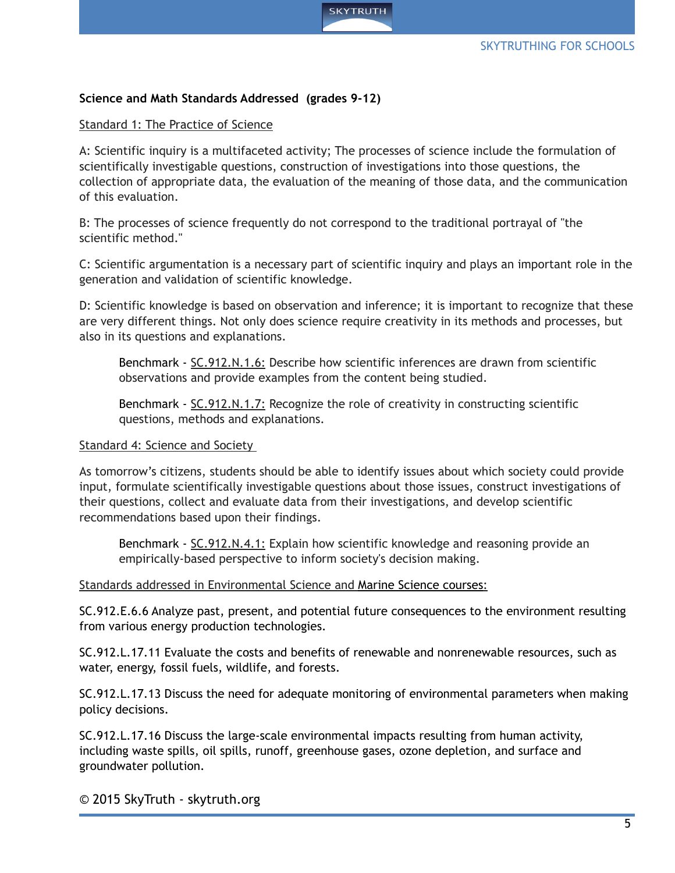

## **Science and Math Standards Addressed (grades 9-12)**

#### Standard 1: The Practice of Science

A: Scientific inquiry is a multifaceted activity; The processes of science include the formulation of scientifically investigable questions, construction of investigations into those questions, the collection of appropriate data, the evaluation of the meaning of those data, and the communication of this evaluation.

B: The processes of science frequently do not correspond to the traditional portrayal of "the scientific method."

C: Scientific argumentation is a necessary part of scientific inquiry and plays an important role in the generation and validation of scientific knowledge.

D: Scientific knowledge is based on observation and inference; it is important to recognize that these are very different things. Not only does science require creativity in its methods and processes, but also in its questions and explanations.

Benchmark - [SC.912.N.1.6:](http://www.cpalms.org/Public/PreviewStandard/Preview/1861) Describe how scientific inferences are drawn from scientific observations and provide examples from the content being studied.

Benchmark - [SC.912.N.1.7:](http://www.cpalms.org/Public/PreviewStandard/Preview/1862) Recognize the role of creativity in constructing scientific questions, methods and explanations.

#### Standard 4: Science and Society

As tomorrow's citizens, students should be able to identify issues about which society could provide input, formulate scientifically investigable questions about those issues, construct investigations of their questions, collect and evaluate data from their investigations, and develop scientific recommendations based upon their findings.

Benchmark - [SC.912.N.4.1:](http://www.cpalms.org/Public/PreviewStandard/Preview/1876) Explain how scientific knowledge and reasoning provide an empirically-based perspective to inform society's decision making.

#### Standards addressed in Environmental Science and Marine Science courses:

[SC.912.E.6.6](http://www.cpalms.org/Public/PreviewStandard/Preview/1892) Analyze past, present, and potential future consequences to the environment resulting from various energy production technologies.

[SC.912.L.17.11](http://www.cpalms.org/Public/PreviewStandard/Preview/2039) Evaluate the costs and benefits of renewable and nonrenewable resources, such as water, energy, fossil fuels, wildlife, and forests.

[SC.912.L.17.13](http://www.cpalms.org/Public/PreviewStandard/Preview/2040) Discuss the need for adequate monitoring of environmental parameters when making policy decisions.

[SC.912.L.17.16](http://www.cpalms.org/Public/PreviewStandard/Preview/2041) Discuss the large-scale environmental impacts resulting from human activity, including waste spills, oil spills, runoff, greenhouse gases, ozone depletion, and surface and groundwater pollution.

© 2015 SkyTruth - skytruth.org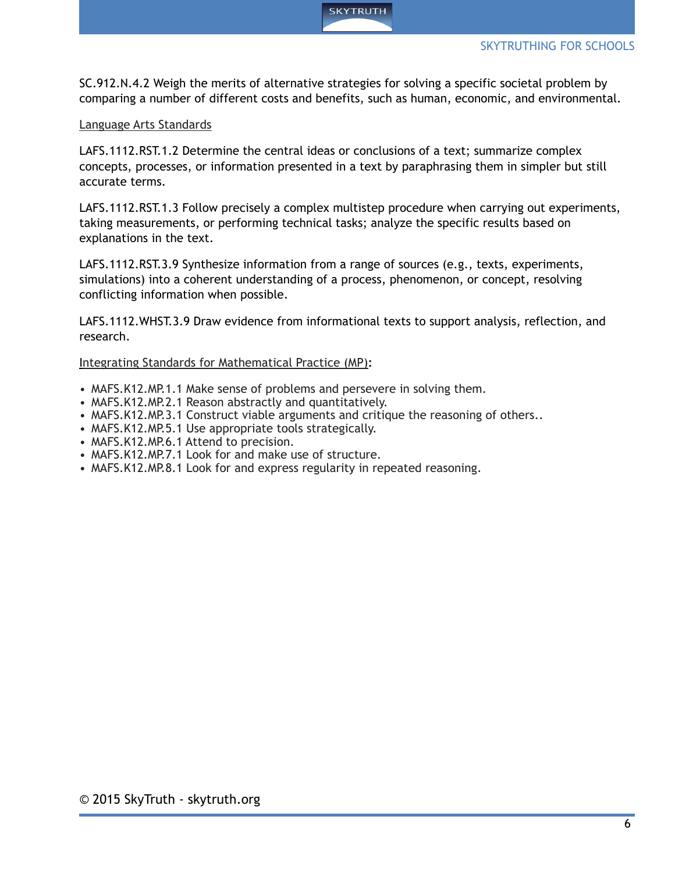[SC.912.N.4.2](http://www.cpalms.org/Public/PreviewStandard/Preview/1877) Weigh the merits of alternative strategies for solving a specific societal problem by comparing a number of different costs and benefits, such as human, economic, and environmental.

**SKYTRUTH** 

# Language Arts Standards

[LAFS.1112.RST.1.2](http://www.cpalms.org/Public/PreviewStandard/Preview/6205) Determine the central ideas or conclusions of a text; summarize complex concepts, processes, or information presented in a text by paraphrasing them in simpler but still accurate terms.

[LAFS.1112.RST.1.3](http://www.cpalms.org/Public/PreviewStandard/Preview/6206) Follow precisely a complex multistep procedure when carrying out experiments, taking measurements, or performing technical tasks; analyze the specific results based on explanations in the text.

[LAFS.1112.RST.3.9](http://www.cpalms.org/Public/PreviewStandard/Preview/6212) Synthesize information from a range of sources (e.g., texts, experiments, simulations) into a coherent understanding of a process, phenomenon, or concept, resolving conflicting information when possible.

[LAFS.1112.WHST.3.9 D](http://www.cpalms.org/Public/PreviewStandard/Preview/6250)raw evidence from informational texts to support analysis, reflection, and research.

# Integrating Standards for Mathematical Practice (MP)**:**

- MAFS.K12.MP.1.1 Make sense of problems and persevere in solving them.
- MAFS.K12.MP.2.1 Reason abstractly and quantitatively.
- MAFS.K12.MP.3.1 Construct viable arguments and critique the reasoning of others..
- MAFS.K12.MP.5.1 Use appropriate tools strategically.
- MAFS.K12.MP.6.1 Attend to precision.
- MAFS.K12.MP.7.1 Look for and make use of structure.
- MAFS.K12.MP.8.1 Look for and express regularity in repeated reasoning.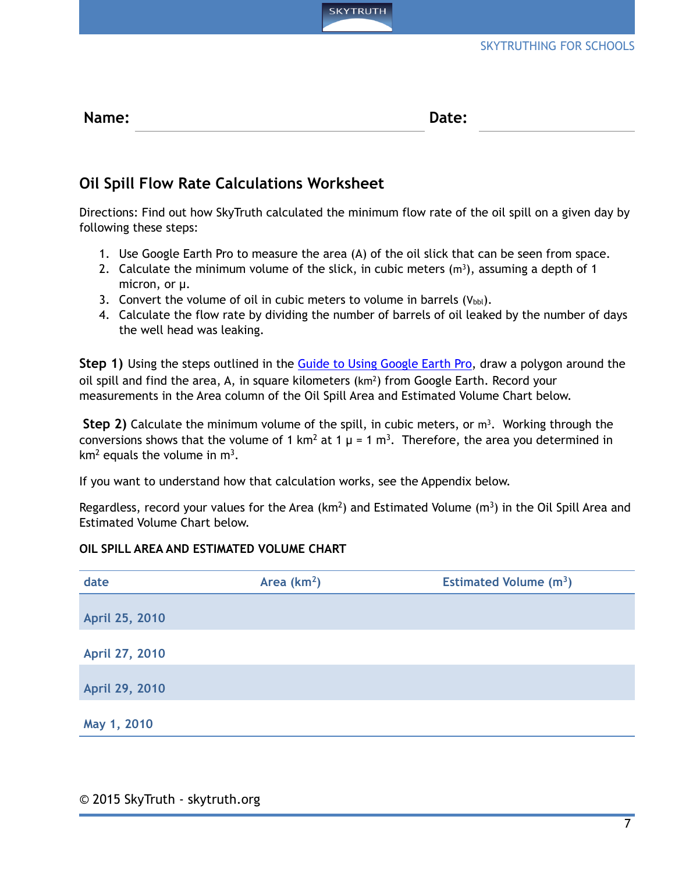

# **Oil Spill Flow Rate Calculations Worksheet**

Directions: Find out how SkyTruth calculated the minimum flow rate of the oil spill on a given day by following these steps:

**SKYTRUTH** 

- 1. Use Google Earth Pro to measure the area (A) of the oil slick that can be seen from space.
- 2. Calculate the minimum volume of the slick, in cubic meters  $(m<sup>3</sup>)$ , assuming a depth of 1 micron, or µ.
- 3. Convert the volume of oil in cubic meters to volume in barrels  $(V_{\text{bb}})$ .
- 4. Calculate the flow rate by dividing the number of barrels of oil leaked by the number of days the well head was leaking.

**Step 1)** Using the steps outlined in the **Guide to Using Google Earth Pro**, draw a polygon around the oil spill and find the area, A, in square kilometers  $(km^2)$  from Google Earth. Record your measurements in the Area column of the Oil Spill Area and Estimated Volume Chart below.

**Step 2)** Calculate the minimum volume of the spill, in cubic meters, or m<sup>3</sup>. Working through the conversions shows that the volume of 1 km<sup>2</sup> at 1  $\mu$  = 1 m<sup>3</sup>. Therefore, the area you determined in  $km<sup>2</sup>$  equals the volume in  $m<sup>3</sup>$ .

If you want to understand how that calculation works, see the Appendix below.

Regardless, record your values for the Area ( $km^2$ ) and Estimated Volume ( $m^3$ ) in the Oil Spill Area and Estimated Volume Chart below.

## **OIL SPILL AREA AND ESTIMATED VOLUME CHART**

| date           | Area $(km2)$ | <b>Estimated Volume (m<sup>3</sup>)</b> |  |
|----------------|--------------|-----------------------------------------|--|
| April 25, 2010 |              |                                         |  |
| April 27, 2010 |              |                                         |  |
| April 29, 2010 |              |                                         |  |
| May 1, 2010    |              |                                         |  |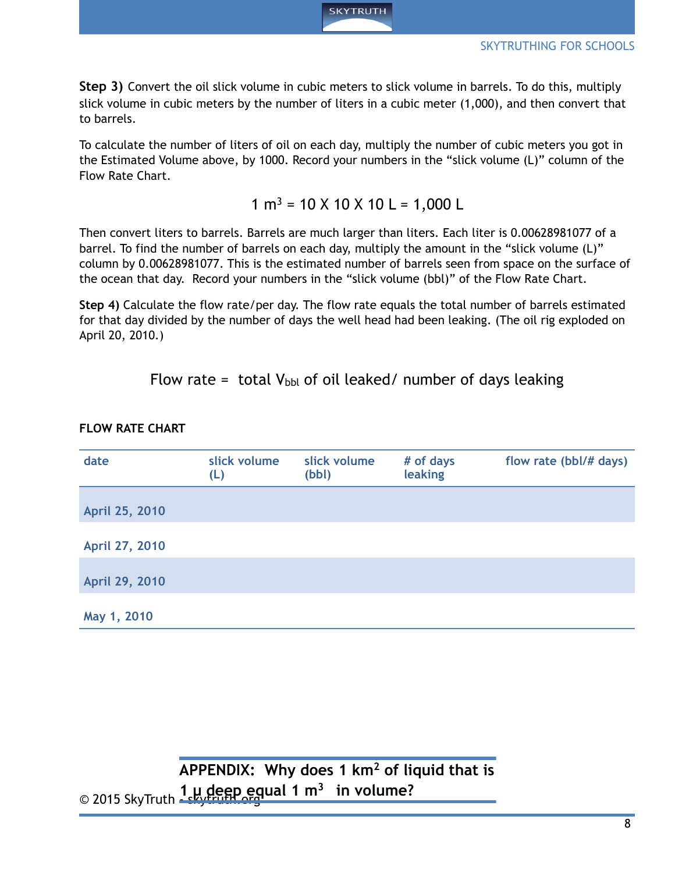

**Step 3)** Convert the oil slick volume in cubic meters to slick volume in barrels. To do this, multiply slick volume in cubic meters by the number of liters in a cubic meter (1,000), and then convert that to barrels.

To calculate the number of liters of oil on each day, multiply the number of cubic meters you got in the Estimated Volume above, by 1000. Record your numbers in the "slick volume (L)" column of the Flow Rate Chart.

 $1 m<sup>3</sup> = 10 X 10 X 10 L = 1,000 L$ 

Then convert liters to barrels. Barrels are much larger than liters. Each liter is 0.00628981077 of a barrel. To find the number of barrels on each day, multiply the amount in the "slick volume (L)" column by 0.00628981077. This is the estimated number of barrels seen from space on the surface of the ocean that day. Record your numbers in the "slick volume (bbl)" of the Flow Rate Chart.

**Step 4)** Calculate the flow rate/per day. The flow rate equals the total number of barrels estimated for that day divided by the number of days the well head had been leaking. (The oil rig exploded on April 20, 2010.)

Flow rate = total  $V_{\text{bb}}$  of oil leaked/ number of days leaking

| date           | slick volume<br>(L) | slick volume<br>(bbl) | # of days<br>leaking | flow rate (bbl/# days) |
|----------------|---------------------|-----------------------|----------------------|------------------------|
| April 25, 2010 |                     |                       |                      |                        |
| April 27, 2010 |                     |                       |                      |                        |
| April 29, 2010 |                     |                       |                      |                        |
| May 1, 2010    |                     |                       |                      |                        |

**FLOW RATE CHART**